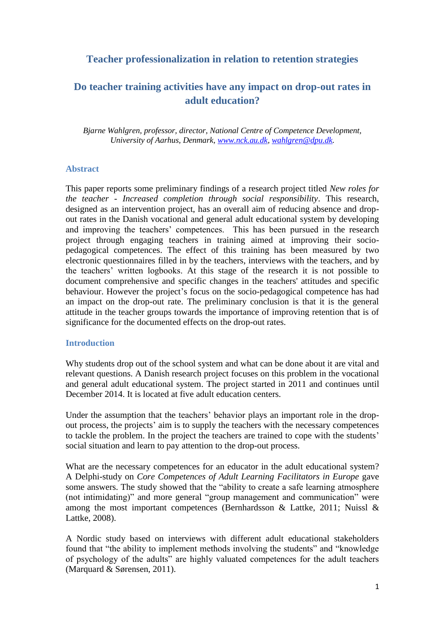## **Teacher professionalization in relation to retention strategies**

# **Do teacher training activities have any impact on drop-out rates in adult education?**

*Bjarne Wahlgren, professor, director, National Centre of Competence Development, University of Aarhus, Denmark, [www.nck.au.dk,](http://www.nck.au.dk/) [wahlgren@dpu.dk.](mailto:wahlgren@dpu.dk)*

### **Abstract**

This paper reports some preliminary findings of a research project titled *New roles for the teacher - Increased completion through social responsibility*. This research, designed as an intervention project, has an overall aim of reducing absence and dropout rates in the Danish vocational and general adult educational system by developing and improving the teachers' competences. This has been pursued in the research project through engaging teachers in training aimed at improving their sociopedagogical competences. The effect of this training has been measured by two electronic questionnaires filled in by the teachers, interviews with the teachers, and by the teachers' written logbooks. At this stage of the research it is not possible to document comprehensive and specific changes in the teachers' attitudes and specific behaviour. However the project's focus on the socio-pedagogical competence has had an impact on the drop-out rate. The preliminary conclusion is that it is the general attitude in the teacher groups towards the importance of improving retention that is of significance for the documented effects on the drop-out rates.

### **Introduction**

Why students drop out of the school system and what can be done about it are vital and relevant questions. A Danish research project focuses on this problem in the vocational and general adult educational system. The project started in 2011 and continues until December 2014. It is located at five adult education centers.

Under the assumption that the teachers' behavior plays an important role in the dropout process, the projects' aim is to supply the teachers with the necessary competences to tackle the problem. In the project the teachers are trained to cope with the students' social situation and learn to pay attention to the drop-out process.

What are the necessary competences for an educator in the adult educational system? A Delphi-study on *Core Competences of Adult Learning Facilitators in Europe* gave some answers. The study showed that the "ability to create a safe learning atmosphere (not intimidating)" and more general "group management and communication" were among the most important competences (Bernhardsson & Lattke, 2011; Nuissl & Lattke, 2008).

A Nordic study based on interviews with different adult educational stakeholders found that "the ability to implement methods involving the students" and "knowledge of psychology of the adults" are highly valuated competences for the adult teachers (Marquard & Sørensen, 2011).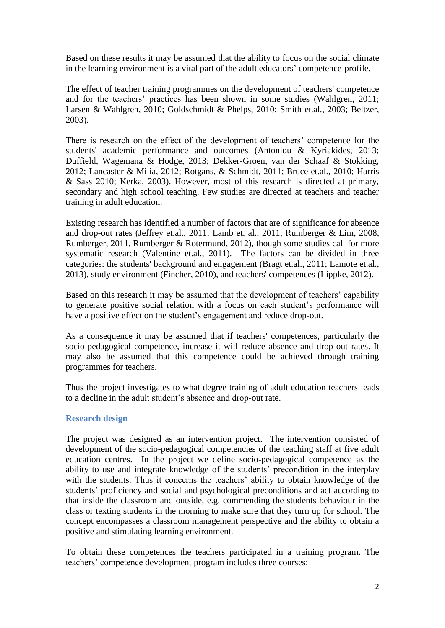Based on these results it may be assumed that the ability to focus on the social climate in the learning environment is a vital part of the adult educators' competence-profile.

The effect of teacher training programmes on the development of teachers' competence and for the teachers' practices has been shown in some studies (Wahlgren, 2011; Larsen & Wahlgren, 2010; Goldschmidt & Phelps, 2010; Smith et.al., 2003; Beltzer, 2003).

There is research on the effect of the development of teachers' competence for the students' academic performance and outcomes (Antoniou & Kyriakides, 2013; Duffield, Wagemana & Hodge, 2013; Dekker-Groen, van der Schaaf & Stokking, 2012; Lancaster & Milia, 2012; Rotgans, & Schmidt, 2011; Bruce et.al., 2010; Harris & Sass 2010; Kerka, 2003). However, most of this research is directed at primary, secondary and high school teaching. Few studies are directed at teachers and teacher training in adult education.

Existing research has identified a number of factors that are of significance for absence and drop-out rates (Jeffrey et.al., 2011; Lamb et. al., 2011; Rumberger & Lim, 2008, Rumberger, 2011, Rumberger & Rotermund, 2012), though some studies call for more systematic research (Valentine et.al., 2011). The factors can be divided in three categories: the students' background and engagement (Bragt et.al., 2011; Lamote et.al., 2013), study environment (Fincher, 2010), and teachers' competences (Lippke, 2012).

Based on this research it may be assumed that the development of teachers' capability to generate positive social relation with a focus on each student's performance will have a positive effect on the student's engagement and reduce drop-out.

As a consequence it may be assumed that if teachers' competences, particularly the socio-pedagogical competence, increase it will reduce absence and drop-out rates. It may also be assumed that this competence could be achieved through training programmes for teachers.

Thus the project investigates to what degree training of adult education teachers leads to a decline in the adult student's absence and drop-out rate.

## **Research design**

The project was designed as an intervention project. The intervention consisted of development of the socio-pedagogical competencies of the teaching staff at five adult education centres. In the project we define socio-pedagogical competence as the ability to use and integrate knowledge of the students' precondition in the interplay with the students. Thus it concerns the teachers' ability to obtain knowledge of the students' proficiency and social and psychological preconditions and act according to that inside the classroom and outside, e.g. commending the students behaviour in the class or texting students in the morning to make sure that they turn up for school. The concept encompasses a classroom management perspective and the ability to obtain a positive and stimulating learning environment.

To obtain these competences the teachers participated in a training program. The teachers' competence development program includes three courses: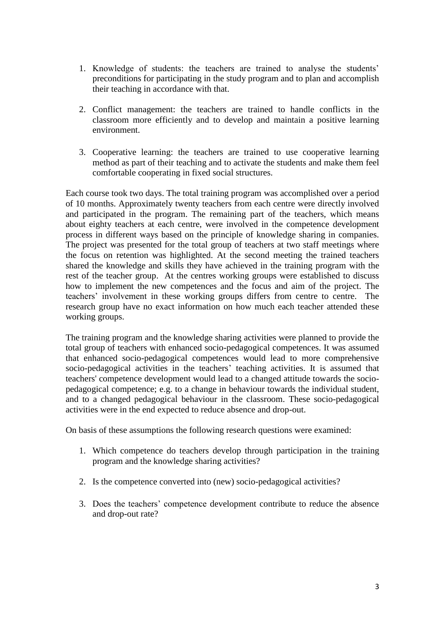- 1. Knowledge of students: the teachers are trained to analyse the students' preconditions for participating in the study program and to plan and accomplish their teaching in accordance with that.
- 2. Conflict management: the teachers are trained to handle conflicts in the classroom more efficiently and to develop and maintain a positive learning environment.
- 3. Cooperative learning: the teachers are trained to use cooperative learning method as part of their teaching and to activate the students and make them feel comfortable cooperating in fixed social structures.

Each course took two days. The total training program was accomplished over a period of 10 months. Approximately twenty teachers from each centre were directly involved and participated in the program. The remaining part of the teachers, which means about eighty teachers at each centre, were involved in the competence development process in different ways based on the principle of knowledge sharing in companies. The project was presented for the total group of teachers at two staff meetings where the focus on retention was highlighted. At the second meeting the trained teachers shared the knowledge and skills they have achieved in the training program with the rest of the teacher group. At the centres working groups were established to discuss how to implement the new competences and the focus and aim of the project. The teachers' involvement in these working groups differs from centre to centre. The research group have no exact information on how much each teacher attended these working groups.

The training program and the knowledge sharing activities were planned to provide the total group of teachers with enhanced socio-pedagogical competences. It was assumed that enhanced socio-pedagogical competences would lead to more comprehensive socio-pedagogical activities in the teachers' teaching activities. It is assumed that teachers' competence development would lead to a changed attitude towards the sociopedagogical competence; e.g. to a change in behaviour towards the individual student, and to a changed pedagogical behaviour in the classroom. These socio-pedagogical activities were in the end expected to reduce absence and drop-out.

On basis of these assumptions the following research questions were examined:

- 1. Which competence do teachers develop through participation in the training program and the knowledge sharing activities?
- 2. Is the competence converted into (new) socio-pedagogical activities?
- 3. Does the teachers' competence development contribute to reduce the absence and drop-out rate?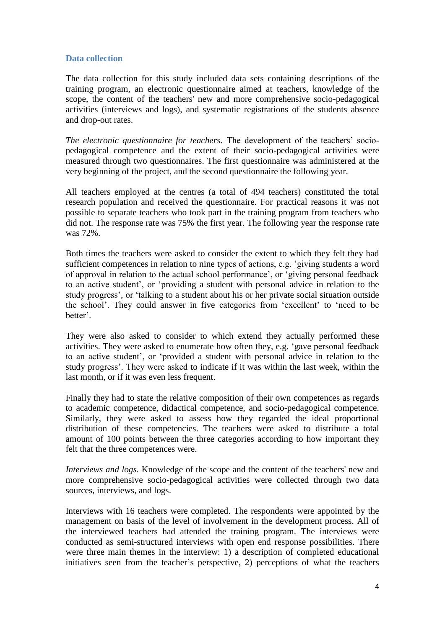## **Data collection**

The data collection for this study included data sets containing descriptions of the training program, an electronic questionnaire aimed at teachers, knowledge of the scope, the content of the teachers' new and more comprehensive socio-pedagogical activities (interviews and logs), and systematic registrations of the students absence and drop-out rates.

*The electronic questionnaire for teachers.* The development of the teachers' sociopedagogical competence and the extent of their socio-pedagogical activities were measured through two questionnaires. The first questionnaire was administered at the very beginning of the project, and the second questionnaire the following year.

All teachers employed at the centres (a total of 494 teachers) constituted the total research population and received the questionnaire. For practical reasons it was not possible to separate teachers who took part in the training program from teachers who did not. The response rate was 75% the first year. The following year the response rate was 72%.

Both times the teachers were asked to consider the extent to which they felt they had sufficient competences in relation to nine types of actions, e.g. 'giving students a word of approval in relation to the actual school performance', or 'giving personal feedback to an active student', or 'providing a student with personal advice in relation to the study progress', or 'talking to a student about his or her private social situation outside the school'. They could answer in five categories from 'excellent' to 'need to be better'.

They were also asked to consider to which extend they actually performed these activities. They were asked to enumerate how often they, e.g. 'gave personal feedback to an active student', or 'provided a student with personal advice in relation to the study progress'. They were asked to indicate if it was within the last week, within the last month, or if it was even less frequent.

Finally they had to state the relative composition of their own competences as regards to academic competence, didactical competence, and socio-pedagogical competence. Similarly, they were asked to assess how they regarded the ideal proportional distribution of these competencies. The teachers were asked to distribute a total amount of 100 points between the three categories according to how important they felt that the three competences were.

*Interviews and logs.* Knowledge of the scope and the content of the teachers' new and more comprehensive socio-pedagogical activities were collected through two data sources, interviews, and logs.

Interviews with 16 teachers were completed. The respondents were appointed by the management on basis of the level of involvement in the development process. All of the interviewed teachers had attended the training program. The interviews were conducted as semi-structured interviews with open end response possibilities. There were three main themes in the interview: 1) a description of completed educational initiatives seen from the teacher's perspective, 2) perceptions of what the teachers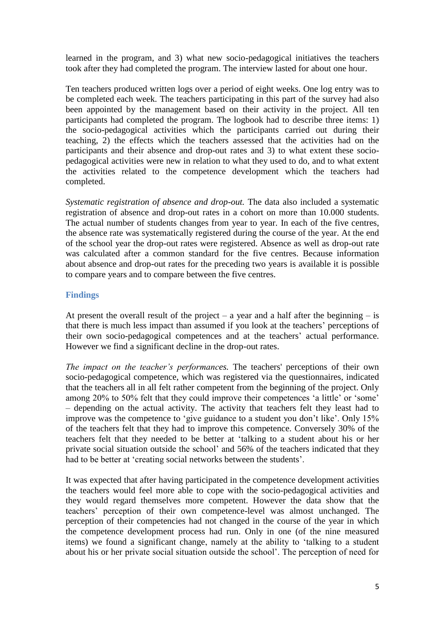learned in the program, and 3) what new socio-pedagogical initiatives the teachers took after they had completed the program. The interview lasted for about one hour.

Ten teachers produced written logs over a period of eight weeks. One log entry was to be completed each week. The teachers participating in this part of the survey had also been appointed by the management based on their activity in the project. All ten participants had completed the program. The logbook had to describe three items: 1) the socio-pedagogical activities which the participants carried out during their teaching, 2) the effects which the teachers assessed that the activities had on the participants and their absence and drop-out rates and 3) to what extent these sociopedagogical activities were new in relation to what they used to do, and to what extent the activities related to the competence development which the teachers had completed.

*Systematic registration of absence and drop-out.* The data also included a systematic registration of absence and drop-out rates in a cohort on more than 10.000 students. The actual number of students changes from year to year. In each of the five centres, the absence rate was systematically registered during the course of the year. At the end of the school year the drop-out rates were registered. Absence as well as drop-out rate was calculated after a common standard for the five centres. Because information about absence and drop-out rates for the preceding two years is available it is possible to compare years and to compare between the five centres.

## **Findings**

At present the overall result of the project – a year and a half after the beginning – is that there is much less impact than assumed if you look at the teachers' perceptions of their own socio-pedagogical competences and at the teachers' actual performance. However we find a significant decline in the drop-out rates.

*The impact on the teacher's performances.* The teachers' perceptions of their own socio-pedagogical competence, which was registered via the questionnaires, indicated that the teachers all in all felt rather competent from the beginning of the project. Only among 20% to 50% felt that they could improve their competences 'a little' or 'some' – depending on the actual activity. The activity that teachers felt they least had to improve was the competence to 'give guidance to a student you don't like'. Only 15% of the teachers felt that they had to improve this competence. Conversely 30% of the teachers felt that they needed to be better at 'talking to a student about his or her private social situation outside the school' and 56% of the teachers indicated that they had to be better at 'creating social networks between the students'.

It was expected that after having participated in the competence development activities the teachers would feel more able to cope with the socio-pedagogical activities and they would regard themselves more competent. However the data show that the teachers' perception of their own competence-level was almost unchanged. The perception of their competencies had not changed in the course of the year in which the competence development process had run. Only in one (of the nine measured items) we found a significant change, namely at the ability to 'talking to a student about his or her private social situation outside the school'. The perception of need for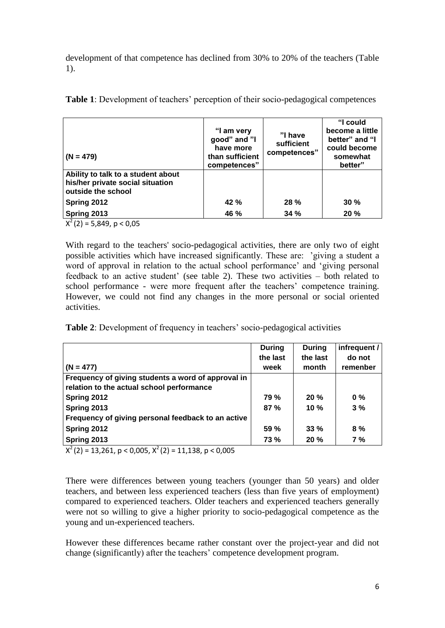development of that competence has declined from 30% to 20% of the teachers (Table 1).

| $(N = 479)$                                                                                  | "I am very<br>good" and "I<br>have more<br>than sufficient<br>competences" | "I have<br>sufficient<br>competences" | "I could<br>become a little<br>better" and "I<br>could become<br>somewhat<br>better" |
|----------------------------------------------------------------------------------------------|----------------------------------------------------------------------------|---------------------------------------|--------------------------------------------------------------------------------------|
| Ability to talk to a student about<br>his/her private social situation<br>outside the school |                                                                            |                                       |                                                                                      |
| Spring 2012                                                                                  | 42 %                                                                       | 28 %                                  | 30%                                                                                  |
| Spring 2013                                                                                  | 46 %                                                                       | 34 %                                  | 20 %                                                                                 |
| $X^2(2) = 5,849, p < 0,05$                                                                   |                                                                            |                                       |                                                                                      |

**Table 1**: Development of teachers' perception of their socio-pedagogical competences

With regard to the teachers' socio-pedagogical activities, there are only two of eight possible activities which have increased significantly. These are: 'giving a student a word of approval in relation to the actual school performance' and 'giving personal feedback to an active student' (see table 2). These two activities – both related to school performance - were more frequent after the teachers' competence training. However, we could not find any changes in the more personal or social oriented activities.

**Table 2**: Development of frequency in teachers' socio-pedagogical activities

|                                                    | <b>During</b> | <b>During</b> | infrequent / |
|----------------------------------------------------|---------------|---------------|--------------|
|                                                    | the last      | the last      | do not       |
| $(N = 477)$                                        | week          | month         | remenber     |
| Frequency of giving students a word of approval in |               |               |              |
| relation to the actual school performance          |               |               |              |
| Spring 2012                                        | 79 %          | 20%           | $0\%$        |
| Spring 2013                                        | 87%           | $10 \%$       | 3%           |
| Frequency of giving personal feedback to an active |               |               |              |
| Spring 2012                                        | <b>59 %</b>   | 33%           | 8%           |
| Spring 2013                                        | <b>73 %</b>   | <b>20%</b>    | 7 %          |

 $X^{2}(2) = 13,261, p < 0,005, X^{2}(2) = 11,138, p < 0,005$ 

There were differences between young teachers (younger than 50 years) and older teachers, and between less experienced teachers (less than five years of employment) compared to experienced teachers. Older teachers and experienced teachers generally were not so willing to give a higher priority to socio-pedagogical competence as the young and un-experienced teachers.

However these differences became rather constant over the project-year and did not change (significantly) after the teachers' competence development program.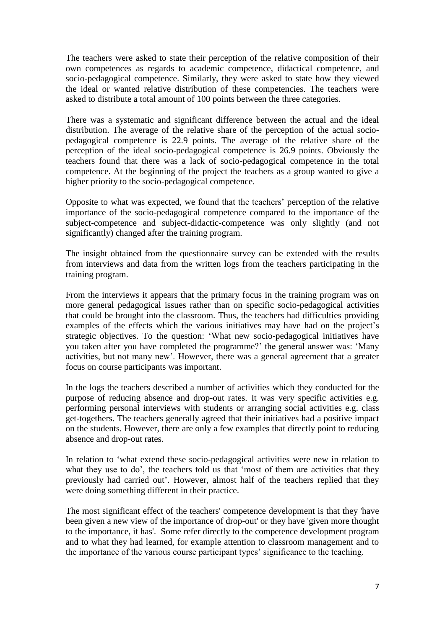The teachers were asked to state their perception of the relative composition of their own competences as regards to academic competence, didactical competence, and socio-pedagogical competence. Similarly, they were asked to state how they viewed the ideal or wanted relative distribution of these competencies. The teachers were asked to distribute a total amount of 100 points between the three categories.

There was a systematic and significant difference between the actual and the ideal distribution. The average of the relative share of the perception of the actual sociopedagogical competence is 22.9 points. The average of the relative share of the perception of the ideal socio-pedagogical competence is 26.9 points. Obviously the teachers found that there was a lack of socio-pedagogical competence in the total competence. At the beginning of the project the teachers as a group wanted to give a higher priority to the socio-pedagogical competence.

Opposite to what was expected, we found that the teachers' perception of the relative importance of the socio-pedagogical competence compared to the importance of the subject-competence and subject-didactic-competence was only slightly (and not significantly) changed after the training program.

The insight obtained from the questionnaire survey can be extended with the results from interviews and data from the written logs from the teachers participating in the training program.

From the interviews it appears that the primary focus in the training program was on more general pedagogical issues rather than on specific socio-pedagogical activities that could be brought into the classroom. Thus, the teachers had difficulties providing examples of the effects which the various initiatives may have had on the project's strategic objectives. To the question: 'What new socio-pedagogical initiatives have you taken after you have completed the programme?' the general answer was: 'Many activities, but not many new'. However, there was a general agreement that a greater focus on course participants was important.

In the logs the teachers described a number of activities which they conducted for the purpose of reducing absence and drop-out rates. It was very specific activities e.g. performing personal interviews with students or arranging social activities e.g. class get-togethers. The teachers generally agreed that their initiatives had a positive impact on the students. However, there are only a few examples that directly point to reducing absence and drop-out rates.

In relation to 'what extend these socio-pedagogical activities were new in relation to what they use to do', the teachers told us that 'most of them are activities that they previously had carried out'. However, almost half of the teachers replied that they were doing something different in their practice.

The most significant effect of the teachers' competence development is that they 'have been given a new view of the importance of drop-out' or they have 'given more thought to the importance, it has'. Some refer directly to the competence development program and to what they had learned, for example attention to classroom management and to the importance of the various course participant types' significance to the teaching.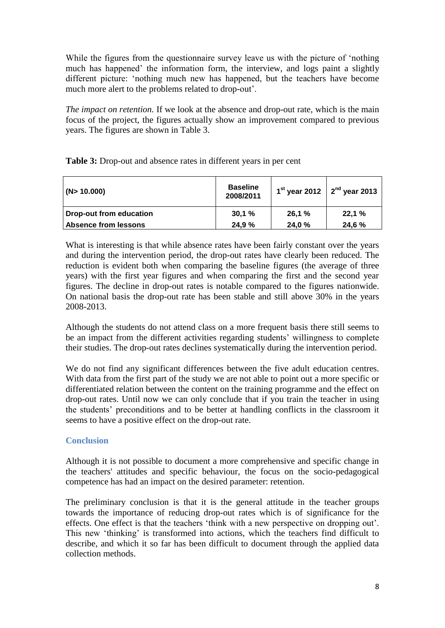While the figures from the questionnaire survey leave us with the picture of 'nothing much has happened' the information form, the interview, and logs paint a slightly different picture: 'nothing much new has happened, but the teachers have become much more alert to the problems related to drop-out'.

*The impact on retention.* If we look at the absence and drop-out rate, which is the main focus of the project, the figures actually show an improvement compared to previous years. The figures are shown in Table 3.

| (N>10.000)              | <b>Baseline</b><br>2008/2011 |        | 1 <sup>st</sup> year 2012 $\int 2^{nd}$ year 2013 |
|-------------------------|------------------------------|--------|---------------------------------------------------|
| Drop-out from education | 30,1%                        | 26,1%  | 22,1%                                             |
| Absence from lessons    | 24.9 %                       | 24,0 % | 24,6 %                                            |

**Table 3:** Drop-out and absence rates in different years in per cent

What is interesting is that while absence rates have been fairly constant over the years and during the intervention period, the drop-out rates have clearly been reduced. The reduction is evident both when comparing the baseline figures (the average of three years) with the first year figures and when comparing the first and the second year figures. The decline in drop-out rates is notable compared to the figures nationwide. On national basis the drop-out rate has been stable and still above 30% in the years 2008-2013.

Although the students do not attend class on a more frequent basis there still seems to be an impact from the different activities regarding students' willingness to complete their studies. The drop-out rates declines systematically during the intervention period.

We do not find any significant differences between the five adult education centres. With data from the first part of the study we are not able to point out a more specific or differentiated relation between the content on the training programme and the effect on drop-out rates. Until now we can only conclude that if you train the teacher in using the students' preconditions and to be better at handling conflicts in the classroom it seems to have a positive effect on the drop-out rate.

## **Conclusion**

Although it is not possible to document a more comprehensive and specific change in the teachers' attitudes and specific behaviour, the focus on the socio-pedagogical competence has had an impact on the desired parameter: retention.

The preliminary conclusion is that it is the general attitude in the teacher groups towards the importance of reducing drop-out rates which is of significance for the effects. One effect is that the teachers 'think with a new perspective on dropping out'. This new 'thinking' is transformed into actions, which the teachers find difficult to describe, and which it so far has been difficult to document through the applied data collection methods.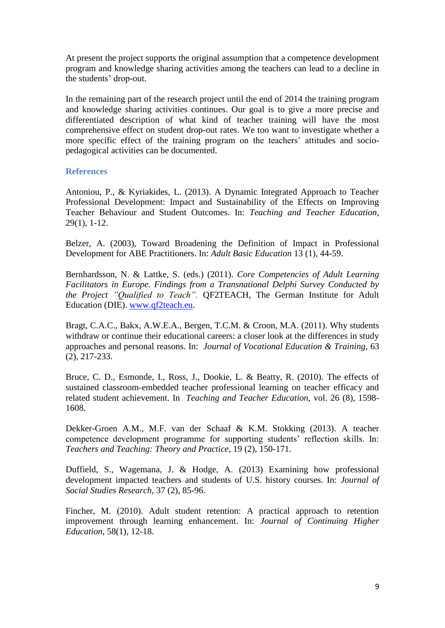At present the project supports the original assumption that a competence development program and knowledge sharing activities among the teachers can lead to a decline in the students' drop-out.

In the remaining part of the research project until the end of 2014 the training program and knowledge sharing activities continues. Our goal is to give a more precise and differentiated description of what kind of teacher training will have the most comprehensive effect on student drop-out rates. We too want to investigate whether a more specific effect of the training program on the teachers' attitudes and sociopedagogical activities can be documented.

### **References**

Antoniou, P., & Kyriakides, L. (2013). A Dynamic Integrated Approach to Teacher Professional Development: Impact and Sustainability of the Effects on Improving Teacher Behaviour and Student Outcomes. In: *Teaching and Teacher Education*, 29(1), 1-12.

Belzer, A. (2003), Toward Broadening the Definition of Impact in Professional Development for ABE Practitioners. In: *Adult Basic Education* 13 (1), 44-59.

Bernhardsson, N. & Lattke, S. (eds.) (2011). *Core Competencies of Adult Learning Facilitators in Europe. Findings from a Transnational Delphi Survey Conducted by the Project "Qualified to Teach".* QF2TEACH, The German Institute for Adult Education (DIE). [www.qf2teach.eu.](http://www.qf2teach.eu/)

Bragt, C.A.C., Bakx, A.W.E.A., Bergen, T.C.M. & Croon, M.A. (2011). Why students withdraw or continue their educational careers: a closer look at the differences in study approaches and personal reasons. In: *Journal of Vocational Education & Training,* 63 (2), 217-233.

Bruce, C. D., Esmonde, I., Ross, J., Dookie, L. & Beatty, R. (2010). The effects of sustained classroom-embedded teacher professional learning on teacher efficacy and related student achievement. In *Teaching and Teacher Education,* vol. 26 (8), 1598- 1608.

Dekker-Groen A.M., M.F. van der Schaaf & K.M. Stokking (2013). A teacher competence development programme for supporting students' reflection skills. In: *Teachers and Teaching: Theory and Practice*, 19 (2), 150-171.

Duffield, S., Wagemana, J. & Hodge, A. (2013) Examining how professional development impacted teachers and students of U.S. history courses. In: *Journal of Social Studies Research*, 37 (2), 85-96.

Fincher, M. (2010). Adult student retention: A practical approach to retention improvement through learning enhancement. In: *Journal of Continuing Higher Education*, 58(1), 12-18.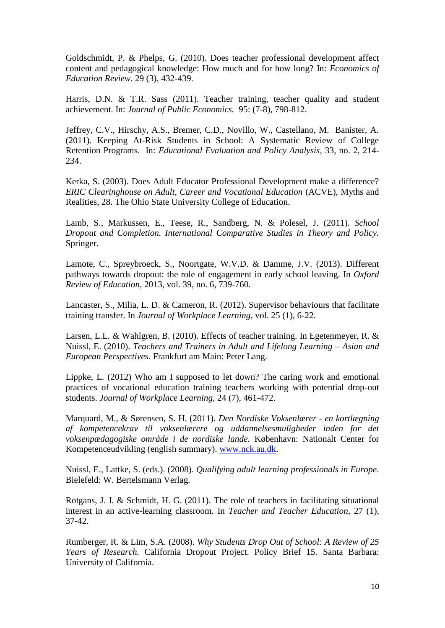Goldschmidt, P. & Phelps, G. (2010). Does teacher professional development affect content and pedagogical knowledge: How much and for how long? In: *[Economics of](http://ideas.repec.org/s/eee/ecoedu.html)  [Education Review](http://ideas.repec.org/s/eee/ecoedu.html)*. 29 (3), 432-439.

Harris, D.N. & T.R. Sass (2011). Teacher training, teacher quality and student achievement. In: *[Journal of Public Economics.](http://ideas.repec.org/s/eee/pubeco.html)* 95: (7-8), 798-812.

Jeffrey, C.V., Hirschy, A.S., Bremer, C.D., Novillo, W., Castellano, M. Banister, A. (2011). Keeping At-Risk Students in School: A Systematic Review of College Retention Programs. In: *Educational Evaluation and Policy Analysis,* 33, no. 2, 214- 234.

Kerka, S. (2003). Does Adult Educator Professional Development make a difference? *ERIC Clearinghouse on Adult, Career and Vocational Education (ACVE), Myths and* Realities, 28. The Ohio State University College of Education.

Lamb, S., Markussen, E., Teese, R., Sandberg, N. & Polesel, J. (2011). *School Dropout and Completion. International Comparative Studies in Theory and Policy.* Springer.

Lamote, C., Spreybroeck, S., Noortgate, W.V.D. & Damme, J.V. (2013). Different pathways towards dropout: the role of engagement in early school leaving. In *Oxford Review of Education,* 2013, vol. 39, no. 6, 739-760.

Lancaster, S., Milia, L. D. & Cameron, R. (2012). Supervisor behaviours that facilitate training transfer. In *Journal of Workplace Learning*, vol. 25 (1), 6-22.

Larsen, L.L. & Wahlgren, B. (2010). Effects of teacher training. In Egetenmeyer, R. & Nuissl, E. (2010). *Teachers and Trainers in Adult and Lifelong Learning – Asian and European Perspectives.* Frankfurt am Main: Peter Lang.

Lippke, L. (2012) Who am I supposed to let down? The caring work and emotional practices of vocational education training teachers working with potential drop-out students. *Journal of Workplace Learning*, 24 (7), 461-472.

Marquard, M., & Sørensen, S. H. (2011). *Den Nordiske Voksenlærer - en kortlægning af kompetencekrav til voksenlærere og uddannelsesmuligheder inden for det voksenpædagogiske område i de nordiske lande.* København: Nationalt Center for Kompetenceudvikling (english summary). [www.nck.au.dk.](http://www.nck.au.dk/)

Nuissl, E., Lattke, S. (eds.). (2008). *Qualifying adult learning professionals in Europe.* Bielefeld: W. Bertelsmann Verlag.

Rotgans, J. I. & Schmidt, H. G. (2011). The role of teachers in facilitating situational interest in an active-learning classroom. In *Teacher and Teacher Education,* 27 (1), 37-42.

Rumberger, R. & Lim, S.A. (2008). *Why Students Drop Out of School: A Review of 25 Years of Research.* California Dropout Project. Policy Brief 15. Santa Barbara: University of California.